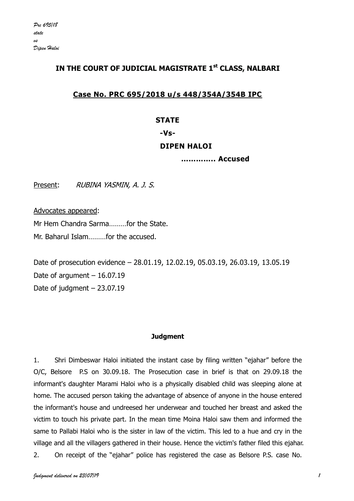# **IN THE COURT OF JUDICIAL MAGISTRATE 1st CLASS, NALBARI**

# **Case No. PRC 695/2018 u/s 448/354A/354B IPC**

### **STATE**

### **-Vs-**

# **DIPEN HALOI**

**………….. Accused**

Present: RUBINA YASMIN, A. J. S.

Advocates appeared:

Mr Hem Chandra Sarma………for the State. Mr. Baharul Islam………for the accused.

Date of prosecution evidence – 28.01.19, 12.02.19, 05.03.19, 26.03.19, 13.05.19 Date of argument  $-16.07.19$ Date of judgment – 23.07.19

# **Judgment**

1. Shri Dimbeswar Haloi initiated the instant case by filing written "ejahar" before the O/C, Belsore P.S on 30.09.18. The Prosecution case in brief is that on 29.09.18 the informant's daughter Marami Haloi who is a physically disabled child was sleeping alone at home. The accused person taking the advantage of absence of anyone in the house entered the informant's house and undreesed her underwear and touched her breast and asked the victim to touch his private part. In the mean time Moina Haloi saw them and informed the same to Pallabi Haloi who is the sister in law of the victim. This led to a hue and cry in the village and all the villagers gathered in their house. Hence the victim's father filed this ejahar. 2. On receipt of the "ejahar" police has registered the case as Belsore P.S. case No.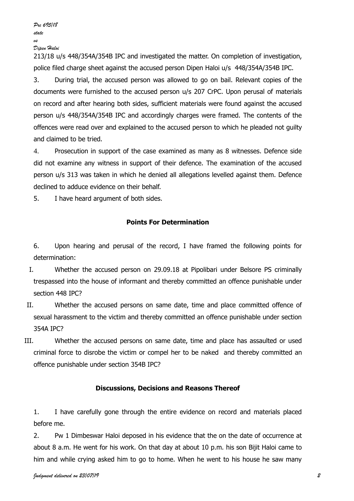213/18 u/s 448/354A/354B IPC and investigated the matter. On completion of investigation, police filed charge sheet against the accused person Dipen Haloi u/s 448/354A/354B IPC.

3. During trial, the accused person was allowed to go on bail. Relevant copies of the documents were furnished to the accused person u/s 207 CrPC. Upon perusal of materials on record and after hearing both sides, sufficient materials were found against the accused person u/s 448/354A/354B IPC and accordingly charges were framed. The contents of the offences were read over and explained to the accused person to which he pleaded not guilty and claimed to be tried.

4. Prosecution in support of the case examined as many as 8 witnesses. Defence side did not examine any witness in support of their defence. The examination of the accused person u/s 313 was taken in which he denied all allegations levelled against them. Defence declined to adduce evidence on their behalf.

5. I have heard argument of both sides.

# **Points For Determination**

6. Upon hearing and perusal of the record, I have framed the following points for determination:

- I. Whether the accused person on 29.09.18 at Pipolibari under Belsore PS criminally trespassed into the house of informant and thereby committed an offence punishable under section 448 IPC?
- II. Whether the accused persons on same date, time and place committed offence of sexual harassment to the victim and thereby committed an offence punishable under section 354A IPC?
- III. Whether the accused persons on same date, time and place has assaulted or used criminal force to disrobe the victim or compel her to be naked and thereby committed an offence punishable under section 354B IPC?

# **Discussions, Decisions and Reasons Thereof**

1. I have carefully gone through the entire evidence on record and materials placed before me.

2. Pw 1 Dimbeswar Haloi deposed in his evidence that the on the date of occurrence at about 8 a.m. He went for his work. On that day at about 10 p.m. his son Bijit Haloi came to him and while crying asked him to go to home. When he went to his house he saw many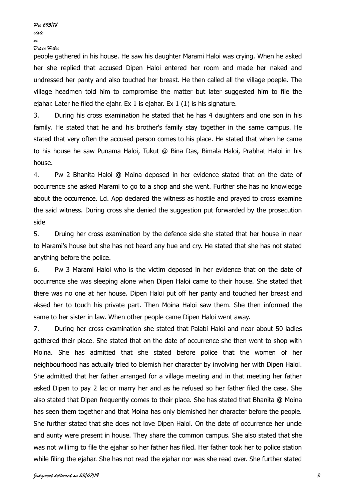people gathered in his house. He saw his daughter Marami Haloi was crying. When he asked her she replied that accused Dipen Haloi entered her room and made her naked and undressed her panty and also touched her breast. He then called all the village poeple. The village headmen told him to compromise the matter but later suggested him to file the ejahar. Later he filed the ejahr. Ex 1 is ejahar. Ex 1 (1) is his signature.

3. During his cross examination he stated that he has 4 daughters and one son in his family. He stated that he and his brother's family stay together in the same campus. He stated that very often the accused person comes to his place. He stated that when he came to his house he saw Punama Haloi, Tukut @ Bina Das, Bimala Haloi, Prabhat Haloi in his house.

4. Pw 2 Bhanita Haloi @ Moina deposed in her evidence stated that on the date of occurrence she asked Marami to go to a shop and she went. Further she has no knowledge about the occurrence. Ld. App declared the witness as hostile and prayed to cross examine the said witness. During cross she denied the suggestion put forwarded by the prosecution side

5. Druing her cross examination by the defence side she stated that her house in near to Marami's house but she has not heard any hue and cry. He stated that she has not stated anything before the police.

6. Pw 3 Marami Haloi who is the victim deposed in her evidence that on the date of occurrence she was sleeping alone when Dipen Haloi came to their house. She stated that there was no one at her house. Dipen Haloi put off her panty and touched her breast and aksed her to touch his private part. Then Moina Haloi saw them. She then informed the same to her sister in law. When other people came Dipen Haloi went away.

7. During her cross examination she stated that Palabi Haloi and near about 50 ladies gathered their place. She stated that on the date of occurrence she then went to shop with Moina. She has admitted that she stated before police that the women of her neighbourhood has actually tried to blemish her character by involving her with Dipen Haloi. She admitted that her father arranged for a village meeting and in that meeting her father asked Dipen to pay 2 lac or marry her and as he refused so her father filed the case. She also stated that Dipen frequently comes to their place. She has stated that Bhanita @ Moina has seen them together and that Moina has only blemished her character before the people. She further stated that she does not love Dipen Haloi. On the date of occurrence her uncle and aunty were present in house. They share the common campus. She also stated that she was not willimg to file the ejahar so her father has filed. Her father took her to police station while filing the ejahar. She has not read the ejahar nor was she read over. She further stated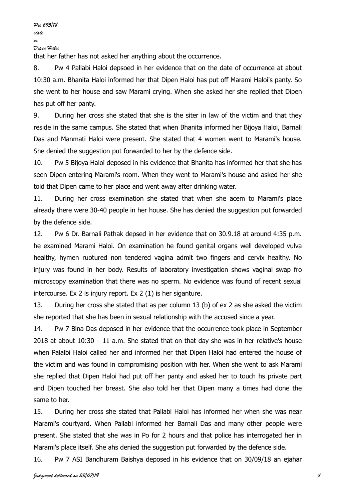that her father has not asked her anything about the occurrence.

8. Pw 4 Pallabi Haloi depsoed in her evidence that on the date of occurrence at about 10:30 a.m. Bhanita Haloi informed her that Dipen Haloi has put off Marami Haloi's panty. So she went to her house and saw Marami crying. When she asked her she replied that Dipen has put off her panty.

9. During her cross she stated that she is the siter in law of the victim and that they reside in the same campus. She stated that when Bhanita informed her Bijoya Haloi, Barnali Das and Manmati Haloi were present. She stated that 4 women went to Marami's house. She denied the suggestion put forwarded to her by the defence side.

10. Pw 5 Bijoya Haloi deposed in his evidence that Bhanita has informed her that she has seen Dipen entering Marami's room. When they went to Marami's house and asked her she told that Dipen came to her place and went away after drinking water.

11. During her cross examination she stated that when she acem to Marami's place already there were 30-40 people in her house. She has denied the suggestion put forwarded by the defence side.

12. Pw 6 Dr. Barnali Pathak depsed in her evidence that on 30.9.18 at around 4:35 p.m. he examined Marami Haloi. On examination he found genital organs well developed vulva healthy, hymen ruotured non tendered vagina admit two fingers and cervix healthy. No injury was found in her body. Results of laboratory investigation shows vaginal swap fro microscopy examination that there was no sperm. No evidence was found of recent sexual intercourse. Ex 2 is injury report. Ex 2 (1) is her siganture.

13. During her cross she stated that as per column 13 (b) of ex 2 as she asked the victim she reported that she has been in sexual relationship with the accused since a year.

14. Pw 7 Bina Das deposed in her evidence that the occurrence took place in September  $2018$  at about  $10:30 - 11$  a.m. She stated that on that day she was in her relative's house when Palalbi Haloi called her and informed her that Dipen Haloi had entered the house of the victim and was found in compromising position with her. When she went to ask Marami she replied that Dipen Haloi had put off her panty and asked her to touch hs private part and Dipen touched her breast. She also told her that Dipen many a times had done the same to her.

15. During her cross she stated that Pallabi Haloi has informed her when she was near Marami's courtyard. When Pallabi informed her Barnali Das and many other people were present. She stated that she was in Po for 2 hours and that police has interrogated her in Marami's place itself. She ahs denied the suggestion put forwarded by the defence side.

16. Pw 7 ASI Bandhuram Baishya deposed in his evidence that on 30/09/18 an ejahar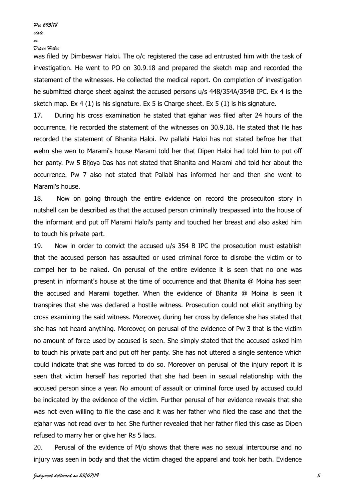was filed by Dimbeswar Haloi. The o/c registered the case ad entrusted him with the task of investigation. He went to PO on 30.9.18 and prepared the sketch map and recorded the statement of the witnesses. He collected the medical report. On completion of investigation he submitted charge sheet against the accused persons u/s 448/354A/354B IPC. Ex 4 is the sketch map. Ex 4 (1) is his signature. Ex 5 is Charge sheet. Ex 5 (1) is his signature.

17. During his cross examination he stated that ejahar was filed after 24 hours of the occurrence. He recorded the statement of the witnesses on 30.9.18. He stated that He has recorded the statement of Bhanita Haloi. Pw pallabi Haloi has not stated befroe her that wehn she wen to Marami's house Marami told her that Dipen Haloi had told him to put off her panty. Pw 5 Bijoya Das has not stated that Bhanita and Marami ahd told her about the occurrence. Pw 7 also not stated that Pallabi has informed her and then she went to Marami's house.

18. Now on going through the entire evidence on record the prosecuiton story in nutshell can be described as that the accused person criminally trespassed into the house of the informant and put off Marami Haloi's panty and touched her breast and also asked him to touch his private part.

19. Now in order to convict the accused u/s 354 B IPC the prosecution must establish that the accused person has assaulted or used criminal force to disrobe the victim or to compel her to be naked. On perusal of the entire evidence it is seen that no one was present in informant's house at the time of occurrence and that Bhanita @ Moina has seen the accused and Marami together. When the evidence of Bhanita @ Moina is seen it transpires that she was declared a hostile witness. Prosecution could not elicit anything by cross examining the said witness. Moreover, during her cross by defence she has stated that she has not heard anything. Moreover, on perusal of the evidence of Pw 3 that is the victim no amount of force used by accused is seen. She simply stated that the accused asked him to touch his private part and put off her panty. She has not uttered a single sentence which could indicate that she was forced to do so. Moreover on perusal of the injury report it is seen that victim herself has reported that she had been in sexual relationship with the accused person since a year. No amount of assault or criminal force used by accused could be indicated by the evidence of the victim. Further perusal of her evidence reveals that she was not even willing to file the case and it was her father who filed the case and that the ejahar was not read over to her. She further revealed that her father filed this case as Dipen refused to marry her or give her Rs 5 lacs.

20. Perusal of the evidence of M/o shows that there was no sexual intercourse and no injury was seen in body and that the victim chaged the apparel and took her bath. Evidence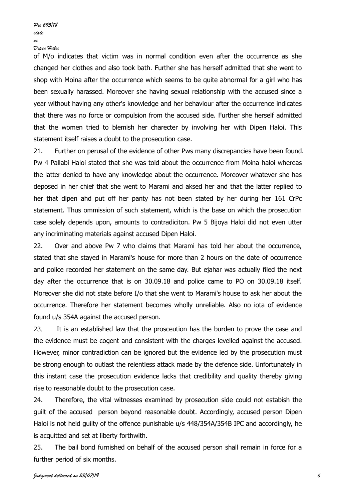of M/o indicates that victim was in normal condition even after the occurrence as she changed her clothes and also took bath. Further she has herself admitted that she went to shop with Moina after the occurrence which seems to be quite abnormal for a girl who has been sexually harassed. Moreover she having sexual relationship with the accused since a year without having any other's knowledge and her behaviour after the occurrence indicates that there was no force or compulsion from the accused side. Further she herself admitted that the women tried to blemish her charecter by involving her with Dipen Haloi. This statement itself raises a doubt to the prosecution case.

21. Further on perusal of the evidence of other Pws many discrepancies have been found. Pw 4 Pallabi Haloi stated that she was told about the occurrence from Moina haloi whereas the latter denied to have any knowledge about the occurrence. Moreover whatever she has deposed in her chief that she went to Marami and aksed her and that the latter replied to her that dipen ahd put off her panty has not been stated by her during her 161 CrPc statement. Thus ommission of such statement, which is the base on which the prosecution case solely depends upon, amounts to contradiciton. Pw 5 Bijoya Haloi did not even utter any incriminating materials against accused Dipen Haloi.

22. Over and above Pw 7 who claims that Marami has told her about the occurrence, stated that she stayed in Marami's house for more than 2 hours on the date of occurrence and police recorded her statement on the same day. But ejahar was actually filed the next day after the occurrence that is on 30.09.18 and police came to PO on 30.09.18 itself. Moreover she did not state before I/o that she went to Marami's house to ask her about the occurrence. Therefore her statement becomes wholly unreliable. Also no iota of evidence found u/s 354A against the accused person.

23. It is an established law that the prosceution has the burden to prove the case and the evidence must be cogent and consistent with the charges levelled against the accused. However, minor contradiction can be ignored but the evidence led by the prosecution must be strong enough to outlast the relentless attack made by the defence side. Unfortunately in this instant case the prosecution evidence lacks that credibility and quality thereby giving rise to reasonable doubt to the prosecution case.

24. Therefore, the vital witnesses examined by prosecution side could not estabish the guilt of the accused person beyond reasonable doubt. Accordingly, accused person Dipen Haloi is not held guilty of the offence punishable u/s 448/354A/354B IPC and accordingly, he is acquitted and set at liberty forthwith.

25. The bail bond furnished on behalf of the accused person shall remain in force for a further period of six months.